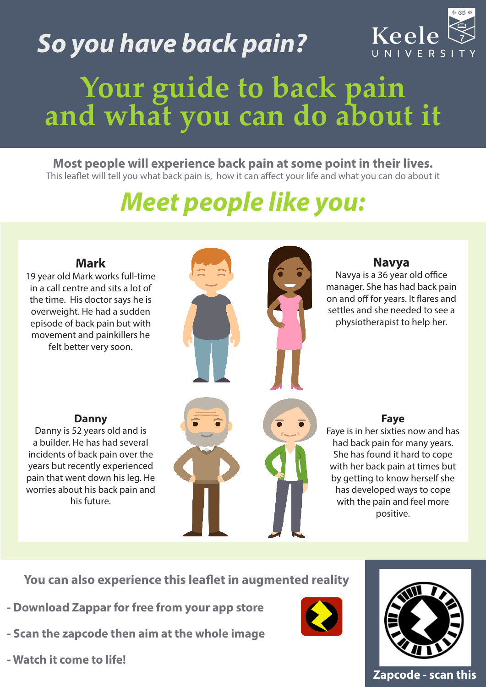# *So you have back pain?*



# **Your guide to back pain and what you can do about it**

#### **Most people will experience back pain at some point in their lives.**  This leaflet will tell you what back pain is, how it can affect your life and what you can do about it

## *Meet people like you:*



**You can also experience this leaflet in augmented reality**

- **Download Zappar for free from your app store**
- **Scan the zapcode then aim at the whole image**
- **Watch it come to life!**





#### **Zapcode - scan this**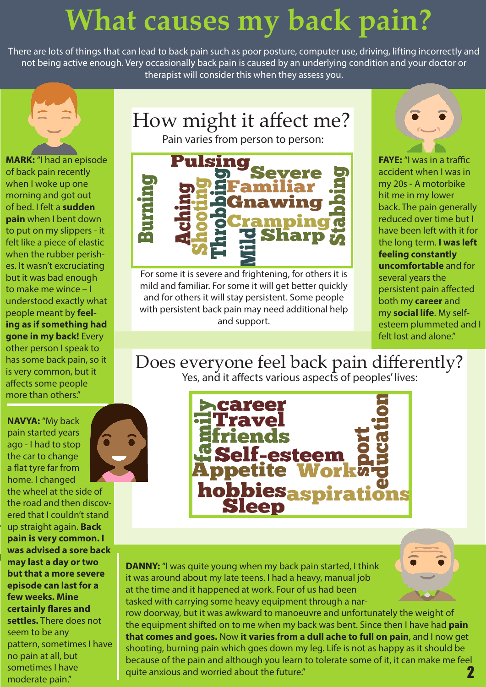## **What causes my back pain?**

There are lots of things that can lead to back pain such as poor posture, computer use, driving, lifting incorrectly and not being active enough. Very occasionally back pain is caused by an underlying condition and your doctor or therapist will consider this when they assess you.

How might it affect me?



**MARK:** "I had an episode of back pain recently when I woke up one morning and got out of bed. I felt a **sudden pain** when I bent down to put on my slippers - it felt like a piece of elastic when the rubber perishes. It wasn't excruciating but it was bad enough to make me wince – I understood exactly what people meant by **feeling as if something had gone in my back!** Every other person I speak to has some back pain, so it is very common, but it affects some people more than others."

**NAVYA:** "My back pain started years ago - I had to stop the car to change a flat tyre far from home. I changed

the wheel at the side of the road and then discovered that I couldn't stand up straight again. **Back pain is very common. I was advised a sore back may last a day or two but that a more severe episode can last for a few weeks. Mine certainly flares and settles.** There does not seem to be any pattern, sometimes I have no pain at all, but sometimes I have moderate pain."





For some it is severe and frightening, for others it is mild and familiar. For some it will get better quickly and for others it will stay persistent. Some people with persistent back pain may need additional help and support.



**FAYE:** "I was in a traffic accident when I was in my 20s - A motorbike hit me in my lower back. The pain generally reduced over time but I have been left with it for the long term. **I was left feeling constantly uncomfortable** and for several years the persistent pain affected both my **career** and my **social life**. My selfesteem plummeted and I felt lost and alone."

#### Does everyone feel back pain differently? Yes, and it affects various aspects of peoples' lives:



2 **DANNY:** "I was quite young when my back pain started, I think it was around about my late teens. I had a heavy, manual job at the time and it happened at work. Four of us had been tasked with carrying some heavy equipment through a narrow doorway, but it was awkward to manoeuvre and unfortunately the weight of the equipment shifted on to me when my back was bent. Since then I have had **pain that comes and goes.** Now **it varies from a dull ache to full on pain**, and I now get shooting, burning pain which goes down my leg. Life is not as happy as it should be because of the pain and although you learn to tolerate some of it, it can make me feel quite anxious and worried about the future."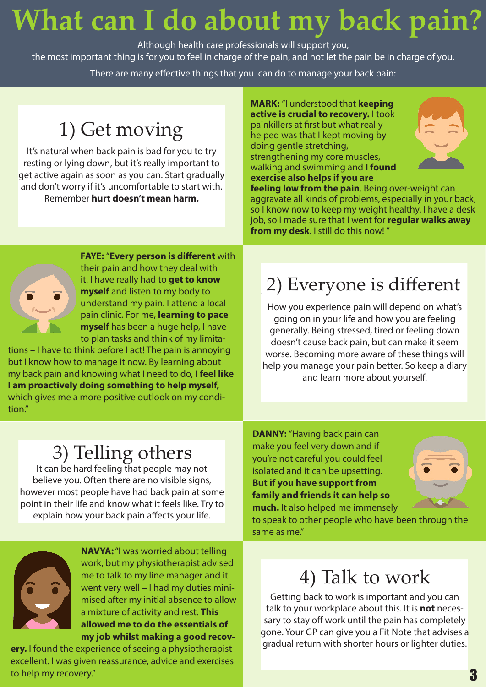# **What can I do about my back pain?**

Although health care professionals will support you, the most important thing is for you to feel in charge of the pain, and not let the pain be in charge of you.

There are many effective things that you can do to manage your back pain:

### 1) Get moving

It's natural when back pain is bad for you to try resting or lying down, but it's really important to get active again as soon as you can. Start gradually and don't worry if it's uncomfortable to start with. Remember **hurt doesn't mean harm.** 

**MARK:** "I understood that **keeping active is crucial to recovery.** I took painkillers at first but what really helped was that I kept moving by doing gentle stretching, strengthening my core muscles, walking and swimming and **I found exercise also helps if you are** 



**feeling low from the pain**. Being over-weight can aggravate all kinds of problems, especially in your back, so I know now to keep my weight healthy. I have a desk job, so I made sure that I went for **regular walks away from my desk**. I still do this now! "



**FAYE:** "**Every person is different** with their pain and how they deal with it. I have really had to **get to know myself** and listen to my body to understand my pain. I attend a local pain clinic. For me, **learning to pace myself** has been a huge help, I have to plan tasks and think of my limita-

tions – I have to think before I act! The pain is annoying but I know how to manage it now. By learning about my back pain and knowing what I need to do, **I feel like I am proactively doing something to help myself,** which gives me a more positive outlook on my condition."

### 2) Everyone is different

How you experience pain will depend on what's going on in your life and how you are feeling generally. Being stressed, tired or feeling down doesn't cause back pain, but can make it seem worse. Becoming more aware of these things will help you manage your pain better. So keep a diary and learn more about yourself.

#### 3) Telling others

It can be hard feeling that people may not believe you. Often there are no visible signs, however most people have had back pain at some point in their life and know what it feels like. Try to explain how your back pain affects your life.

**DANNY:** "Having back pain can make you feel very down and if you're not careful you could feel isolated and it can be upsetting. **But if you have support from family and friends it can help so much.** It also helped me immensely



to speak to other people who have been through the same as me."



**NAVYA:** "I was worried about telling work, but my physiotherapist advised me to talk to my line manager and it went very well – I had my duties minimised after my initial absence to allow a mixture of activity and rest. **This allowed me to do the essentials of my job whilst making a good recov-**

**ery.** I found the experience of seeing a physiotherapist excellent. I was given reassurance, advice and exercises to help my recovery."

#### 4) Talk to work

Getting back to work is important and you can talk to your workplace about this. It is **not** necessary to stay off work until the pain has completely gone. Your GP can give you a Fit Note that advises a gradual return with shorter hours or lighter duties.